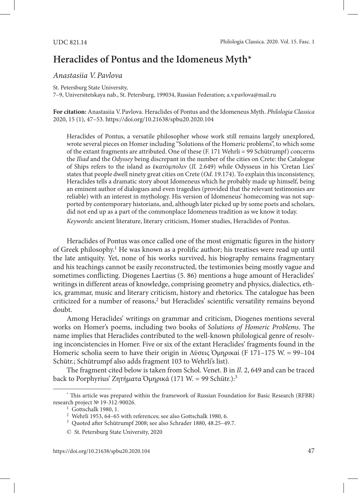## **Heraclides of Pontus and the Idomeneus Myth\***

## *Anastasiia V.Pavlova*

St. Petersburg State University,

7–9, Universitetskaya nab., St. Petersburg, 199034, Russian Federation; a.v.pavlova@mail.ru

**For citation:** Anastasiia V.Pavlova. Heraclides of Pontus and the Idomeneus Myth. *Philologia Classica*  2020, 15 (1), 47–53. https://doi.org/10.21638/spbu20.2020.104

Heraclides of Pontus, a versatile philosopher whose work still remains largely unexplored, wrote several pieces on Homer including "Solutions of the Homeric problems", to which some of the extant fragments are attributed. One of these (F. 171 Wehrli = 99 Schütrumpf) concerns the *Iliad* and the *Odyssey* being discrepant in the number of the cities on Crete: the Catalogue of Ships refers to the island as ἑκατόμπολιν (*Il.* 2.649) while Odysseus in his 'Cretan Lies' states that people dwell ninety great cities on Crete (*Od*. 19.174). To explain this inconsistency, Heraclides tells a dramatic story about Idomeneus which he probably made up himself, being an eminent author of dialogues and even tragedies (provided that the relevant testimonies are reliable) with an interest in mythology. His version of Idomeneus' homecoming was not supported by contemporary historians, and, although later picked up by some poets and scholars, did not end up as a part of the commonplace Idomeneus tradition as we know it today.

*Keywords*: ancient literature, literary criticism, Homer studies, Heraclides of Pontus.

Heraclides of Pontus was once called one of the most enigmatic figures in the history of Greek philosophy.<sup>1</sup> He was known as a prolific author; his treatises were read up until the late antiquity. Yet, none of his works survived, his biography remains fragmentary and his teachings cannot be easily reconstructed, the testimonies being mostly vague and sometimes conflicting. Diogenes Laertius (5. 86) mentions a huge amount of Heraclides' writings in different areas of knowledge, comprising geometry and physics, dialectics, ethics, grammar, music and literary criticism, history and rhetorics. The catalogue has been criticized for a number of reasons,<sup>2</sup> but Heraclides' scientific versatility remains beyond doubt.

Among Heraclides' writings on grammar and criticism, Diogenes mentions several works on Homer's poems, including two books of *Solutions of Homeric Problems*. The name implies that Heraclides contributed to the well-known philological genre of resolving inconcistencies in Homer. Five or six of the extant Heraclides' fragments found in the Homeric scholia seem to have their origin in Λύσεις Ὁμηρικαί (F 171–175 W. = 99–104 Schütr.; Schütrumpf also adds fragment 103 to Wehrli's list).

The fragment cited below is taken from Schol. Venet. B in *Il*. 2, 649 and can be traced back to Porphyrius' Ζητήματα Ὁμηρικά (171 W. = 99 Schütr.):3

<sup>\*</sup> This article was prepared within the framework of Russian Foundation for Basic Research (RFBR) research project № 19-312-90026.

<sup>&</sup>lt;sup>1</sup> Gottschalk 1980, 1.

<sup>2</sup> Wehrli 1953, 64–65 with references; see also Gottschalk 1980, 6.

<sup>3</sup> Quoted after Schütrumpf 2008; see also Schrader 1880, 48.25–49.7.

<sup>©</sup> St. Petersburg State University, 2020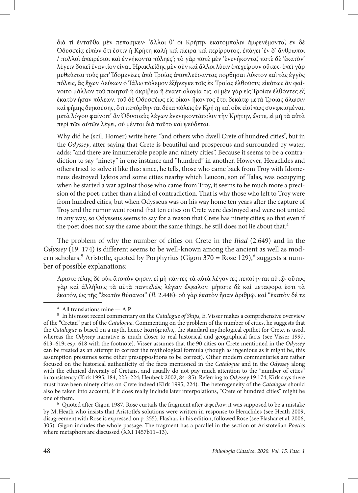διὰ τί ἐνταῦθα μὲν πεποίηκεν· 'ἄλλοι θ' οἳ Κρήτην ἑκατόμπολιν ἀμφενέμοντο', ἐν δὲ Ὀδυσσείᾳ εἰπὼν ὅτι ἔστιν ἡ Κρήτη καλὴ καὶ πίειρα καὶ περίρρυτος, ἐπάγει 'ἐν δ' ἄνθρωποι / πολλοὶ ἀπειρέσιοι καὶ ἐννήκοντα πόληες'; τὸ γὰρ ποτὲ μὲν 'ἐνενήκοντα,' ποτὲ δὲ 'ἑκατὸν' λέγειν δοκεῖ ἐναντίον εἶναι. Ἡρακλείδης μὲν οὖν καὶ ἄλλοι λύειν ἐπεχείρουν οὕτως· ἐπεὶ γὰρ μυθεύεται τοὺς μετ' Ἰδομενέως ἀπὸ Τροίας ἀποπλεύσαντας πορθῆσαι Λύκτον καὶ τὰς ἐγγὺς πόλεις, ἃς ἔχων Λεύκων ὁ Τάλω πόλεμον ἐξήνεγκε τοῖς ἐκ Τροίας ἐλθοῦσιν, εἰκότως ἂν φαίνοιτο μᾶλλον τοῦ ποιητοῦ ἡ ἀκρίβεια ἢ ἐναντιολογία τις. οἱ μὲν γὰρ εἰς Τροίαν ἐλθόντες ἐξ ἑκατὸν ἦσαν πόλεων. τοῦ δὲ Ὀδυσσέως εἰς οἶκον ἥκοντος ἔτει δεκάτῳ μετὰ Τροίας ἅλωσιν καὶ φήμης διηκούσης, ὅτι πεπόρθηνται δέκα πόλεις ἐν Κρήτῃ καὶ οὔκ εἰσί πως συνῳκισμέναι, μετὰ λόγου φαίνοιτ' ἂν Ὀδυσσεὺς λέγων ἐνενηκοντάπολιν τὴν Κρήτην, ὥστε, εἰ μὴ τὰ αὐτὰ περὶ τῶν αὐτῶν λέγει, οὐ μέντοι διὰ τοῦτο καὶ ψεύδεται.

Why did he (scil. Homer) write here: "and others who dwell Crete of hundred cities", but in the *Odyssey*, after saying that Crete is beautiful and prosperous and surrounded by water, adds: "and there are innumerable people and ninety cities". Because it seems to be a contradiction to say "ninety" in one instance and "hundred" in another. However, Heraclides and others tried to solve it like this: since, he tells, those who came back from Troy with Idomeneus destroyed Lyktos and some cities nearby which Leucon, son of Talas, was occupying when he started a war against those who came from Troy, it seems to be much more a precision of the poet, rather than a kind of contradiction. That is why those who left to Troy were from hundred cities, but when Odysseus was on his way home ten years after the capture of Troy and the rumor went round that ten cities on Crete were destroyed and were not united in any way, so Odysseus seems to say for a reason that Crete has ninety cities; so that even if the poet does not say the same about the same things, he still does not lie about that.<sup>4</sup>

The problem of why the number of cities on Crete in the *Iliad* (2.649) and in the *Odyssey* (19. 174) is different seems to be well-known among the ancient as well as modern scholars.<sup>5</sup> Aristotle, quoted by Porphyrius (Gigon 370 = Rose 129),<sup>6</sup> suggests a number of possible explanations:

Ἀριστοτέλης δὲ οὐκ ἄτοπόν φησιν, εἰ μὴ πάντες τὰ αὐτὰ λέγοντες πεποίηνται αὐτῷ· οὕτως γὰρ καὶ ἀλλήλοις τὰ αὐτὰ παντελῶς λέγειν ὤφειλον. μήποτε δὲ καὶ μεταφορά ἐστι τὰ ἐκατόν, ὡς τῆς "ἑκατὸν θύσανοι" (*Il*. 2.448)· οὐ γὰρ ἑκατὸν ἦσαν ἀριθμῷ. καί "ἑκατὸν δέ τε

by M.Heath who insists that Aristotle's solutions were written in response to Heraclides (see Heath 2009, disagreement with Rose is expressed on p. 255). Flashar, in his edition, followed Rose (see Flashar et al. 2006, 305). Gigon includes the whole passage. The fragment has a parallel in the section of Aristotelian *Poetics*  where metaphors are discussed (XXI 1457b11–13).

<sup>4</sup> All translations mine — A.P.

<sup>5</sup> In his most recent commentary on the *Catalogue of Ships,* E.Visser makes a comprehensive overview of the "Cretan" part of the *Catalogue*. Commenting on the problem of the number of cities, he suggests that the *Catalogue* is based on a myth, hence ἑκατόμπολις, the standard mythological epithet for Crete, is used, whereas the *Odyssey* narrative is much closer to real historical and geographical facts (see Visser 1997, 613–619; esp. 618 with the footnote). Visser assumes that the 90 cities on Crete mentioned in the *Odyssey* can be treated as an attempt to correct the mythological formula (though as ingenious as it might be, this assumption presumes some other presuppositions to be correct). Other modern commentaries are rather focused on the historical authenticity of the facts mentioned in the *Catalogue* and in the *Odyssey* along with the ethnical diversity of Cretans, and usually do not pay much attention to the "number of cities" inconsistency (Kirk 1995, 184, 223–224; Heubeck 2002, 84–85). Referring to *Odyssey* 19.174, Kirk says there must have been ninety cities on Crete indeed (Kirk 1995, 224). The heterogeneity of the *Catalogue* should also be taken into account; if it does really include later interpolations, "Crete of hundred cities" might be one of them. 6 Quoted after Gigon 1987. Rose curtails the fragment after ὤφειλον; it was supposed to be a mistake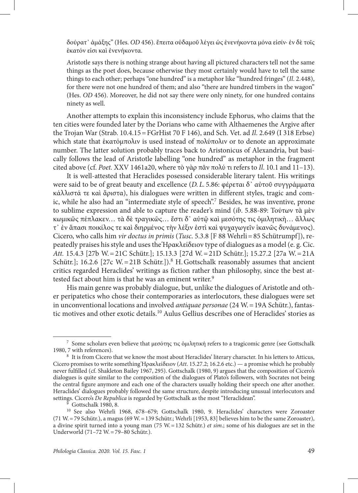δούρατ᾽ ἀμάξης" (Hes. *OD* 456). ἔπειτα οὐδαμοῦ λέγει ὡς ἐνενήκοντα μόνα εἰσίν· ἐν δὲ τοῖς ἑκατόν εἰσι καὶ ἐνενήκοντα.

Aristotle says there is nothing strange about having all pictured characters tell not the same things as the poet does, because otherwise they most certainly would have to tell the same things to each other; perhaps "one hundred" is a metaphor like "hundred fringes" (*Il*. 2.448), for there were not one hundred of them; and also "there are hundred timbers in the wagon" (Hes. *OD* 456). Moreover, he did not say there were only ninety, for one hundred contains ninety as well.

Another attempts to explain this inconsistency include Ephorus, who claims that the ten cities were founded later by the Dorians who came with Althaemenes the Argive after the Trojan War (Strab. 10.4.15=FGrHist 70 F 146), and Sch. Vet. ad *Il*. 2.649 (I 318 Erbse) which state that *έκατόμπολιν* is used instead of πολύπολιν or to denote an approximate number. The latter solution probably traces back to Aristonicus of Alexandria, but basically follows the lead of Aristotle labelling "one hundred" as metaphor in the fragment cited above (cf. *Poet.* XXV 1461a20, where τὸ γὰρ πᾶν πολύ τι refers to *Il*. 10.1 and 11–13).

It is well-attested that Heraclides posessed considerable literary talent. His writings were said to be of great beauty and excellence (*D.L.* 5.86: φέρεται δ᾽ αὐτοῦ συγγράμματα κάλλιστά τε καὶ ἄριστα), his dialogues were written in different styles, tragic and comic, while he also had an "intermediate style of speech".<sup>7</sup> Besides, he was inventive, prone to sublime expression and able to capture the reader's mind (*ib*. 5.88-89: Τούτων τὰ μὲν κωμικῶς πέπλακεν… τὰ δὲ τραγικῶς… ἔστι δ᾽ αὐτῷ καὶ μεσότης τις ὁμιλητικὴ… ἄλλως τ᾽ ἐν ἅπασι ποικίλος τε καὶ διηρμένος τὴν λέξιν ἐστὶ καὶ ψυχαγωγεῖν ἱκανῶς δυνάμενος). Cicero, who calls him *vir doctus in primis* (*Tusc*. 5.3.8 [F 88 Wehrli=85 Schütrumpf]), repeatedly praises his style and uses the Ἡρακλείδειον type of dialogues as a model (e. g. Cic. *Att.* 15.4.3 [27b W.=21C Schütr.]; 15.13.3 [27d W.=21D Schütr.]; 15.27.2 [27a W.=21A Schütr.]; 16.2.6 [27c W. = 21B Schütr.]).<sup>8</sup> H. Gottschalk reasonably assumes that ancient critics regarded Heraclides' writings as fiction rather than philosophy, since the best attested fact about him is that he was an eminent writer.<sup>9</sup>

His main genre was probably dialogue, but, unlike the dialogues of Aristotle and other peripatetics who chose their contemporaries as interlocutors, these dialogues were set in unconventional locations and involved *antiquae personae* (24 W.=19A Schütr.), fantastic motives and other exotic details.10 Aulus Gellius describes one of Heraclides' stories as

<sup>7</sup> Some scholars even believe that μεσότης τις ὁμιλητική refers to a tragicomic genre (see Gottschalk 1980, 7 with references).

<sup>8</sup> It is from Cicero that we know the most about Heraclides' literary character. In his letters to Atticus, Cicero promises to write something Ἡρακλείδειον (*Att*. 15.27.2; 16.2.6 etc.) — a promise which he probably never fulfilled (cf. Shakleton Bailey 1967, 295). Gottschalk (1980, 9) argues that the composition of Cicero's dialogues is quite similar to the composition of the dialogues of Plato's followers, with Socrates not being the central figure anymore and each one of the characters usually holding their speech one after another. Heraclides' dialogues probably followed the same structure, despite introducing unusual interlocutors and settings. Cicero's *De Republica* is regarded by Gottschalk as the most "Heraclidean".<br><sup>9</sup> Gottschalk 1980, 8.

<sup>10</sup> See also Wehrli 1968, 678–679; Gottschalk 1980, 9. Heraclides' characters were Zoroaster (71 W.=79 Schütr.), a magus (69 W.=139 Schütr.; Wehrli [1953, 83] believes him to be the same Zoroaster), a divine spirit turned into a young man (75 W.=132 Schütr.) *et sim*.; some of his dialogues are set in the Underworld (71–72 W.=79–80 Schütr.).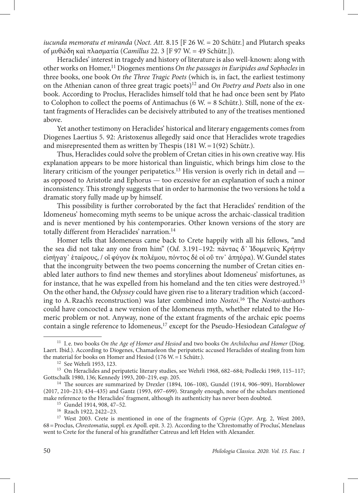*iucunda memoratu et miranda* (*Noct. Att.* 8.15 [F 26 W. = 20 Schütr.] and Plutarch speaks of μυθώδη καὶ πλασματία (*Camillus* 22. 3 [F 97 W. = 49 Schütr.]).

Heraclides' interest in tragedy and history of literature is also well-known: along with other works on Homer,11 Diogenes mentions *On the passages in Euripides and Sophocles* in three books, one book *On the Three Tragic Poets* (which is, in fact, the earliest testimony on the Athenian canon of three great tragic poets)12 and *On Poetry and Poets* also in one book. According to Proclus, Heraclides himself told that he had once been sent by Plato to Colophon to collect the poems of Antimachus (6 W. = 8 Schütr.). Still, none of the extant fragments of Heraclides can be decisively attributed to any of the treatises mentioned above.

Yet another testimony on Heraclides' historical and literary engagements comes from Diogenes Laertius 5. 92: Aristoxenus allegedly said once that Heraclides wrote tragedies and misrepresented them as written by Thespis  $(181 \text{ W} = 1(92) \text{ Schütr.})$ .

Thus, Heraclides could solve the problem of Cretan cities in his own creative way. His explanation appears to be more historical than linguistic, which brings him close to the literary criticism of the younger peripatetics.13 His version is overly rich in detail and as opposed to Aristotle and Ephorus — too excessive for an explanation of such a minor inconsistency. This strongly suggests that in order to harmonise the two versions he told a dramatic story fully made up by himself.

This possibility is further corroborated by the fact that Heraclides' rendition of the Idomeneus' homecoming myth seems to be unique across the archaic-classical tradition and is never mentioned by his contemporaries. Other known versions of the story are totally different from Heraclides' narration.<sup>14</sup>

Homer tells that Idomeneus came back to Crete happily with all his fellows, "and the sea did not take any one from him" (*Od*. 3.191–192: πάντας δ᾽ Ἰδομενεὺς Κρήτην εἰσήγαγ᾽ ἑταίρους, / οἳ φύγον ἐκ πολέμου, πόντος δέ οἱ οὔ τιν᾽ ἀπηύρα). W.Gundel states that the incongruity between the two poems concerning the number of Cretan cities enabled later authors to find new themes and storylines about Idomeneus' misfortunes, as for instance, that he was expelled from his homeland and the ten cities were destroyed.15 On the other hand, the *Odyssey* could have given rise to a literary tradition which (according to A.Rzach's reconstruction) was later combined into *Nostoi*. 16 The *Nostoi*-authors could have concocted a new version of the Idomeneus myth, whether related to the Homeric problem or not. Anyway, none of the extant fragments of the archaic epic poems contain a single reference to Idomeneus,<sup>17</sup> except for the Pseudo-Hesiodean *Catalogue of* 

<sup>11</sup> I. e. two books *On the Age of Homer and Hesiod* and two books *On Archilochus and Homer* (Diog. Laert. Ibid.). According to Diogenes, Chamaeleon the peripatetic accused Heraclides of stealing from him the material for books on Homer and Hesiod (176 W.=1 Schütr.).

<sup>12</sup> See Wehrli 1953, 123.

<sup>13</sup> On Heraclides and peripatetic literary studies, see Wehrli 1968, 682–684; Podlecki 1969, 115–117; Gottschalk 1980, 136; Kennedy 1993, 200–219, esp. 205.

<sup>&</sup>lt;sup>14</sup> The sources are summarized by Drexler (1894, 106–108), Gundel (1914, 906–909), Hornblower (2017, 210–213; 434–435) and Gantz (1993, 697–699). Strangely enough, none of the scholars mentioned make reference to the Heraclides' fragment, although its authenticity has never been doubted. 15 Gundel 1914, 908, 47–52.

<sup>16</sup> Rzach 1922, 2422–23.

<sup>17</sup> West 2003. Crete is mentioned in one of the fragments of *Cypria* (*Cypr*. Arg. 2, West 2003, 68=Proclus, *Chrestomatia*, suppl. ex Apoll. epit. 3. 2). According to the 'Chrestomathy of Proclus', Menelaus went to Crete for the funeral of his grandfather Catreus and left Helen with Alexander.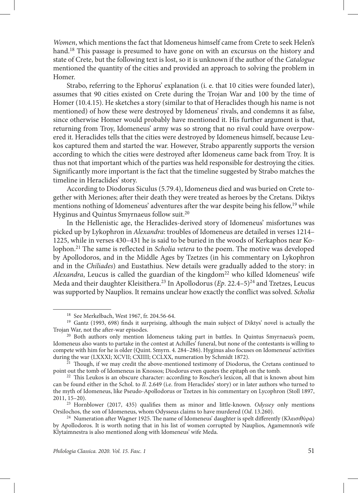*Women*, which mentions the fact that Idomeneus himself came from Crete to seek Helen's hand.<sup>18</sup> This passage is presumed to have gone on with an excursus on the history and state of Crete, but the following text is lost, so it is unknown if the author of the *Catalogue* mentioned the quantity of the cities and provided an approach to solving the problem in Homer.

Strabo, referring to the Ephorus' explanation (i. e. that 10 cities were founded later), assumes that 90 cities existed on Crete during the Trojan War and 100 by the time of Homer (10.4.15). He sketches a story (similar to that of Heraclides though his name is not mentioned) of how these were destroyed by Idomeneus' rivals, and condemns it as false, since otherwise Homer would probably have mentioned it. His further argument is that, returning from Troy, Idomeneus' army was so strong that no rival could have overpowered it. Heraclides tells that the cities were destroyed by Idomeneus himself, because Leukos captured them and started the war. However, Strabo apparently supports the version according to which the cities were destroyed after Idomeneus came back from Troy. It is thus not that important which of the parties was held responsible for destroying the cities. Significantly more important is the fact that the timeline suggested by Strabo matches the timeline in Heraclides' story.

According to Diodorus Siculus (5.79.4), Idomeneus died and was buried on Crete together with Meriones; after their death they were treated as heroes by the Cretans. Diktys mentions nothing of Idomeneus' adventures after the war despite being his fellow,<sup>19</sup> while Hyginus and Quintus Smyrnaeus follow suit.20

In the Hellenistic age, the Heraclides-derived story of Idomeneus' misfortunes was picked up by Lykophron in *Alexandra*: troubles of Idomeneus are detailed in verses 1214– 1225, while in verses 430–431 he is said to be buried in the woods of Kerkaphos near Kolophon.21 The same is reflected in *Scholia vetera* to the poem. The motive was developed by Apollodoros, and in the Middle Ages by Tzetzes (in his commentary on Lykophron and in the *Chiliades*) and Eustathius. New details were gradually added to the story: in *Alexandra*, Leucus is called the guardian of the kingdom<sup>22</sup> who killed Idomeneus' wife Meda and their daughter Kleisithera.<sup>23</sup> In Apollodorus (*Ep.* 22.4–5)<sup>24</sup> and Tzetzes, Leucus was supported by Nauplios. It remains unclear how exactly the conflict was solved. *Scholia*

<sup>18</sup> See Merkelbach, West 1967, fr. 204.56-64.

<sup>19</sup> Gantz (1993, 698) finds it surprising, although the main subject of Diktys' novel is actually the Trojan War, not the after-war episodes.

<sup>&</sup>lt;sup>20</sup> Both authors only mention Idomeneus taking part in battles. In Quintus Smyrnaeus's poem, Idomeneus also wants to partake in the contest at Achilles' funeral, but none of the contestants is willing to compete with him for he is older (Quint. Smyrn. 4. 284–286). Hyginus also focuses on Idomeneus' activities

 $\frac{\tilde{z}_1}{\tilde{z}_2}$  Though, if we may credit the above-mentioned testimony of Diodorus, the Cretans continued to point out the tomb of Idomeneus in Knossos; Diodorus even quotes the epitaph on the tomb.

 $22$  This Leukos is an obscure character: according to Roscher's lexicon, all that is known about him can be found either in the Schol. to *Il*. 2.649 (i.e. from Heraclides' story) or in later authors who turned to the myth of Idomeneus, like Pseudo-Apollodorus or Tzetzes in his commentary on Lycophron (Stoll 1897, 2011, 15–20).

<sup>23</sup> Hornblower (2017, 435) qualifies them as minor and little-known. *Odyssey* only mentions Orsilochos, the son of Idomeneus, whom Odysseus claims to have murdered (*Od*. 13.260).

<sup>&</sup>lt;sup>24</sup> Numeration after Wagner 1925. The name of Idomeneus' daughter is spelt differently (Κλεισιθύρα) by Apollodoros. It is worth noting that in his list of women corrupted by Nauplios, Agamemnon's wife Klytaimnestra is also mentioned along with Idomeneus' wife Meda.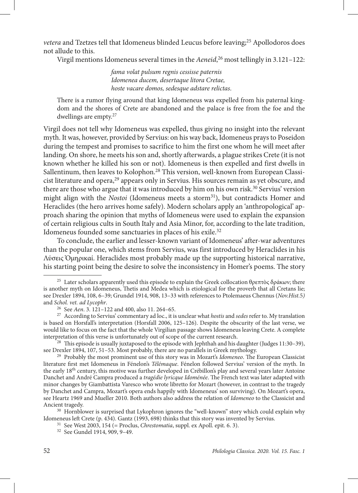*vetera* and Tzetzes tell that Idomeneus blinded Leucus before leaving;<sup>25</sup> Apollodoros does not allude to this.

Virgil mentions Idomeneus several times in the *Aeneid*, 26 most tellingly in 3.121–122:

*fama volat pulsum regnis cessisse paternis Idomenea ducem, desertaque litora Cretae, hoste vacare domos, sedesque adstare relictas*.

There is a rumor flying around that king Idomeneus was expelled from his paternal kingdom and the shores of Crete are abandoned and the palace is free from the foe and the dwellings are empty.27

Virgil does not tell why Idomeneus was expelled, thus giving no insight into the relevant myth. It was, however, provided by Servius: on his way back, Idomeneus prays to Poseidon during the tempest and promises to sacrifice to him the first one whom he will meet after landing. On shore, he meets his son and, shortly afterwards, a plague strikes Crete (it is not known whether he killed his son or not). Idomeneus is then expelled and first dwells in Sallentinum, then leaves to Kolophon.28 This version, well-known from European Classicist literature and opera,29 appears only in Servius. His sources remain as yet obscure, and there are those who argue that it was introduced by him on his own risk.<sup>30</sup> Servius' version might align with the *Nostoi* (Idomeneus meets a storm<sup>31</sup>), but contradicts Homer and Heraclides (the hero arrives home safely). Modern scholars apply an 'anthropological' approach sharing the opinion that myths of Idomeneus were used to explain the expansion of certain religious cults in South Italy and Asia Minor, for, according to the late tradition, Idomeneus founded some sanctuaries in places of his exile.32

To conclude, the earlier and lesser-known variant of Idomeneus' after-war adventures than the popular one, which stems from Servius, was first introduced by Heraclides in his Λύσεις Ὁμηρικαί. Heraclides most probably made up the supporting historical narrative, his starting point being the desire to solve the inconsistency in Homer's poems. The story

Idomeneus left Crete (p. 434). Gantz (1993, 698) thinks that this story was invented by Servius.

<sup>&</sup>lt;sup>25</sup> Later scholars apparently used this episode to explain the Greek collocation θρεπτὸς δράκων; there is another myth on Idomeneus, Thetis and Medea which is etiological for the proverb that all Cretans lie; see Drexler 1894, 108, 6–39; Grundel 1914, 908, 13–33 with references to Ptolemaeus Chennus (*Nov.Hist.*5*)* and *Schol. vet. ad Lycophr*. 26 See *Aen*. 3. 121–122 and 400, also 11. 264–65.

<sup>27</sup> According to Servius' commentary ad loc., it is unclear what *hostis* and *sedes* refer to. My translation is based on Horsfall's interpretation (Horsfall 2006, 125–126). Despite the obscurity of the last verse, we would like to focus on the fact that the whole Virgilian passage shows Idomeneus leaving Crete. A complete interpretation of this verse is unfortunately out of scope of the current research.

<sup>&</sup>lt;sup>28</sup> This episode is usually juxtaposed to the episode with Jephthah and his daughter (Judges 11:30–39), see Drexler 1894, 107, 51–53. Most probably, there are no parallels in Greek mythology.

<sup>&</sup>lt;sup>29</sup> Probably the most prominent use of this story was in Mozart's *Idomeneo*. The European Classicist literature first met Idomeneus in Fénelon's *Télémaque*. Fénelon followed Servius' version of the myth. In the early 18th century, this motive was further developed in Crébillon's play and several years later Antoine Danchet and André Campra produced a *tragédie lyricque Idoménée*. The French text was later adapted with minor changes by Giambattista Varesco who wrote libretto for Mozart (however, in contrast to the tragedy by Danchet and Campra, Mozart's opera ends happily with Idomeneus' son surviving). On Mozart's opera, see Heartz 1969 and Mueller 2010. Both authors also address the relation of *Idomeneo* to the Classicist and Ancient tragedy.<br><sup>30</sup> Hornblower is surprised that Lykophron ignores the "well-known" story which could explain why

<sup>31</sup> See West 2003, 154 (= Proclus, *Chrestomatia*, suppl. ex Apoll. epit. 6. 3).

<sup>32</sup> See Gundel 1914, 909, 9–49.